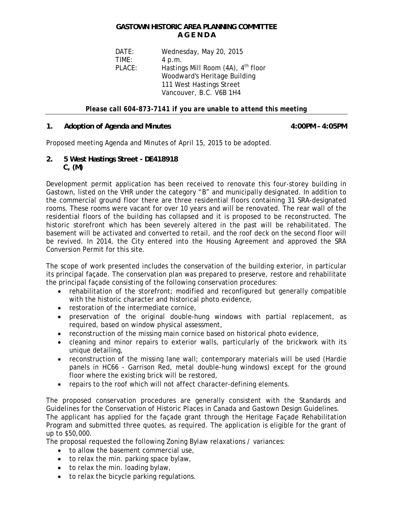## **GASTOWN HISTORIC AREA PLANNING COMMITTEE A G E N D A**

DATE: Wednesday, May 20, 2015 TIME: 4 p.m. PLACE: Hastings Mill Room (4A), 4<sup>th</sup> floor Woodward's Heritage Building 111 West Hastings Street Vancouver, B.C. V6B 1H4

*Please call 604-873-7141 if you are unable to attend this meeting* 

## **1. Adoption of Agenda and Minutes 4:00PM – 4:05PM**

Proposed meeting Agenda and Minutes of April 15, 2015 to be adopted.

**2. 5 West Hastings Street - DE418918 C, (M)** 

Development permit application has been received to renovate this four-storey building in Gastown, listed on the VHR under the category "B" and municipally designated. In addition to the commercial ground floor there are three residential floors containing 31 SRA-designated rooms. These rooms were vacant for over 10 years and will be renovated. The rear wall of the residential floors of the building has collapsed and it is proposed to be reconstructed. The historic storefront which has been severely altered in the past will be rehabilitated. The basement will be activated and converted to retail, and the roof deck on the second floor will be revived. In 2014, the City entered into the Housing Agreement and approved the SRA Conversion Permit for this site.

The scope of work presented includes the conservation of the building exterior, in particular its principal façade. The conservation plan was prepared to preserve, restore and rehabilitate the principal façade consisting of the following conservation procedures:

- rehabilitation of the storefront; modified and reconfigured but generally compatible with the historic character and historical photo evidence,
- restoration of the intermediate cornice,
- preservation of the original double-hung windows with partial replacement, as required, based on window physical assessment,
- reconstruction of the missing main cornice based on historical photo evidence,
- cleaning and minor repairs to exterior walls, particularly of the brickwork with its unique detailing,
- reconstruction of the missing lane wall; contemporary materials will be used (Hardie panels in HC66 - Garrison Red, metal double-hung windows) except for the ground floor where the existing brick will be restored,
- repairs to the roof which will not affect character-defining elements.

The proposed conservation procedures are generally consistent with the Standards and Guidelines for the Conservation of Historic Places in Canada and Gastown Design Guidelines.

The applicant has applied for the façade grant through the Heritage Façade Rehabilitation Program and submitted three quotes, as required. The application is eligible for the grant of up to \$50,000.

The proposal requested the following Zoning Bylaw relaxations / variances:

- to allow the basement commercial use.
- to relax the min. parking space bylaw,
- to relax the min. loading bylaw,
- to relax the bicycle parking regulations.